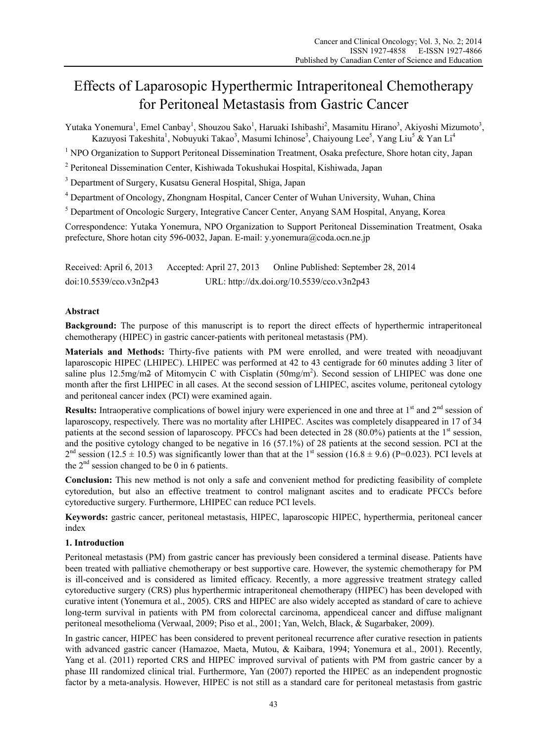# Effects of Laparosopic Hyperthermic Intraperitoneal Chemotherapy for Peritoneal Metastasis from Gastric Cancer

Yutaka Yonemura<sup>1</sup>, Emel Canbay<sup>1</sup>, Shouzou Sako<sup>1</sup>, Haruaki Ishibashi<sup>2</sup>, Masamitu Hirano<sup>3</sup>, Akiyoshi Mizumoto<sup>3</sup>, Kazuyosi Takeshita<sup>1</sup>, Nobuyuki Takao<sup>3</sup>, Masumi Ichinose<sup>3</sup>, Chaiyoung Lee<sup>5</sup>, Yang Liu<sup>5</sup> & Yan Li<sup>4</sup>

<sup>1</sup> NPO Organization to Support Peritoneal Dissemination Treatment, Osaka prefecture, Shore hotan city, Japan

2 Peritoneal Dissemination Center, Kishiwada Tokushukai Hospital, Kishiwada, Japan

<sup>3</sup> Department of Surgery, Kusatsu General Hospital, Shiga, Japan

<sup>4</sup> Department of Oncology, Zhongnam Hospital, Cancer Center of Wuhan University, Wuhan, China

<sup>5</sup> Department of Oncologic Surgery, Integrative Cancer Center, Anyang SAM Hospital, Anyang, Korea

Correspondence: Yutaka Yonemura, NPO Organization to Support Peritoneal Dissemination Treatment, Osaka prefecture, Shore hotan city 596-0032, Japan. E-mail: y.yonemura@coda.ocn.ne.jp

Received: April 6, 2013 Accepted: April 27, 2013 Online Published: September 28, 2014 doi:10.5539/cco.v3n2p43 URL: http://dx.doi.org/10.5539/cco.v3n2p43

## **Abstract**

**Background:** The purpose of this manuscript is to report the direct effects of hyperthermic intraperitoneal chemotherapy (HIPEC) in gastric cancer-patients with peritoneal metastasis (PM).

**Materials and Methods:** Thirty-five patients with PM were enrolled, and were treated with neoadjuvant laparoscopic HIPEC (LHIPEC). LHIPEC was performed at 42 to 43 centigrade for 60 minutes adding 3 liter of saline plus  $12.5$ mg/m $2$  of Mitomycin C with Cisplatin ( $50$ mg/m<sup>2</sup>). Second session of LHIPEC was done one month after the first LHIPEC in all cases. At the second session of LHIPEC, ascites volume, peritoneal cytology and peritoneal cancer index (PCI) were examined again.

**Results:** Intraoperative complications of bowel injury were experienced in one and three at 1<sup>st</sup> and 2<sup>nd</sup> session of laparoscopy, respectively. There was no mortality after LHIPEC. Ascites was completely disappeared in 17 of 34 patients at the second session of laparoscopy. PFCCs had been detected in 28 (80.0%) patients at the  $1<sup>st</sup>$  session, and the positive cytology changed to be negative in 16 (57.1%) of 28 patients at the second session. PCI at the  $2<sup>nd</sup>$  session (12.5  $\pm$  10.5) was significantly lower than that at the 1<sup>st</sup> session (16.8  $\pm$  9.6) (P=0.023). PCI levels at the  $2<sup>nd</sup>$  session changed to be 0 in 6 patients.

**Conclusion:** This new method is not only a safe and convenient method for predicting feasibility of complete cytoredution, but also an effective treatment to control malignant ascites and to eradicate PFCCs before cytoreductive surgery. Furthermore, LHIPEC can reduce PCI levels.

**Keywords:** gastric cancer, peritoneal metastasis, HIPEC, laparoscopic HIPEC, hyperthermia, peritoneal cancer index

#### **1. Introduction**

Peritoneal metastasis (PM) from gastric cancer has previously been considered a terminal disease. Patients have been treated with palliative chemotherapy or best supportive care. However, the systemic chemotherapy for PM is ill-conceived and is considered as limited efficacy. Recently, a more aggressive treatment strategy called cytoreductive surgery (CRS) plus hyperthermic intraperitoneal chemotherapy (HIPEC) has been developed with curative intent (Yonemura et al., 2005). CRS and HIPEC are also widely accepted as standard of care to achieve long-term survival in patients with PM from colorectal carcinoma, appendiceal cancer and diffuse malignant peritoneal mesothelioma (Verwaal, 2009; Piso et al., 2001; Yan, Welch, Black, & Sugarbaker, 2009).

In gastric cancer, HIPEC has been considered to prevent peritoneal recurrence after curative resection in patients with advanced gastric cancer (Hamazoe, Maeta, Mutou, & Kaibara, 1994; Yonemura et al., 2001). Recently, Yang et al. (2011) reported CRS and HIPEC improved survival of patients with PM from gastric cancer by a phase III randomized clinical trial. Furthermore, Yan (2007) reported the HIPEC as an independent prognostic factor by a meta-analysis. However, HIPEC is not still as a standard care for peritoneal metastasis from gastric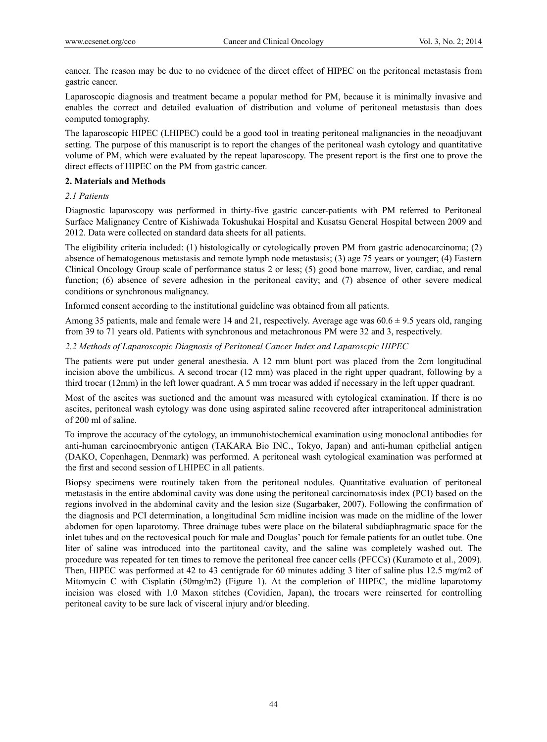cancer. The reason may be due to no evidence of the direct effect of HIPEC on the peritoneal metastasis from gastric cancer.

Laparoscopic diagnosis and treatment became a popular method for PM, because it is minimally invasive and enables the correct and detailed evaluation of distribution and volume of peritoneal metastasis than does computed tomography.

The laparoscopic HIPEC (LHIPEC) could be a good tool in treating peritoneal malignancies in the neoadjuvant setting. The purpose of this manuscript is to report the changes of the peritoneal wash cytology and quantitative volume of PM, which were evaluated by the repeat laparoscopy. The present report is the first one to prove the direct effects of HIPEC on the PM from gastric cancer.

#### **2. Materials and Methods**

## *2.1 Patients*

Diagnostic laparoscopy was performed in thirty-five gastric cancer-patients with PM referred to Peritoneal Surface Malignancy Centre of Kishiwada Tokushukai Hospital and Kusatsu General Hospital between 2009 and 2012. Data were collected on standard data sheets for all patients.

The eligibility criteria included: (1) histologically or cytologically proven PM from gastric adenocarcinoma; (2) absence of hematogenous metastasis and remote lymph node metastasis; (3) age 75 years or younger; (4) Eastern Clinical Oncology Group scale of performance status 2 or less; (5) good bone marrow, liver, cardiac, and renal function; (6) absence of severe adhesion in the peritoneal cavity; and (7) absence of other severe medical conditions or synchronous malignancy.

Informed consent according to the institutional guideline was obtained from all patients.

Among 35 patients, male and female were 14 and 21, respectively. Average age was  $60.6 \pm 9.5$  years old, ranging from 39 to 71 years old. Patients with synchronous and metachronous PM were 32 and 3, respectively.

*2.2 Methods of Laparoscopic Diagnosis of Peritoneal Cancer Index and Laparoscpic HIPEC* 

The patients were put under general anesthesia. A 12 mm blunt port was placed from the 2cm longitudinal incision above the umbilicus. A second trocar (12 mm) was placed in the right upper quadrant, following by a third trocar (12mm) in the left lower quadrant. A 5 mm trocar was added if necessary in the left upper quadrant.

Most of the ascites was suctioned and the amount was measured with cytological examination. If there is no ascites, peritoneal wash cytology was done using aspirated saline recovered after intraperitoneal administration of 200 ml of saline.

To improve the accuracy of the cytology, an immunohistochemical examination using monoclonal antibodies for anti-human carcinoembryonic antigen (TAKARA Bio INC., Tokyo, Japan) and anti-human epithelial antigen (DAKO, Copenhagen, Denmark) was performed. A peritoneal wash cytological examination was performed at the first and second session of LHIPEC in all patients.

Biopsy specimens were routinely taken from the peritoneal nodules. Quantitative evaluation of peritoneal metastasis in the entire abdominal cavity was done using the peritoneal carcinomatosis index (PCI) based on the regions involved in the abdominal cavity and the lesion size (Sugarbaker, 2007). Following the confirmation of the diagnosis and PCI determination, a longitudinal 5cm midline incision was made on the midline of the lower abdomen for open laparotomy. Three drainage tubes were place on the bilateral subdiaphragmatic space for the inlet tubes and on the rectovesical pouch for male and Douglas' pouch for female patients for an outlet tube. One liter of saline was introduced into the partitoneal cavity, and the saline was completely washed out. The procedure was repeated for ten times to remove the peritoneal free cancer cells (PFCCs) (Kuramoto et al., 2009). Then, HIPEC was performed at 42 to 43 centigrade for 60 minutes adding 3 liter of saline plus 12.5 mg/m2 of Mitomycin C with Cisplatin (50mg/m2) (Figure 1). At the completion of HIPEC, the midline laparotomy incision was closed with 1.0 Maxon stitches (Covidien, Japan), the trocars were reinserted for controlling peritoneal cavity to be sure lack of visceral injury and/or bleeding.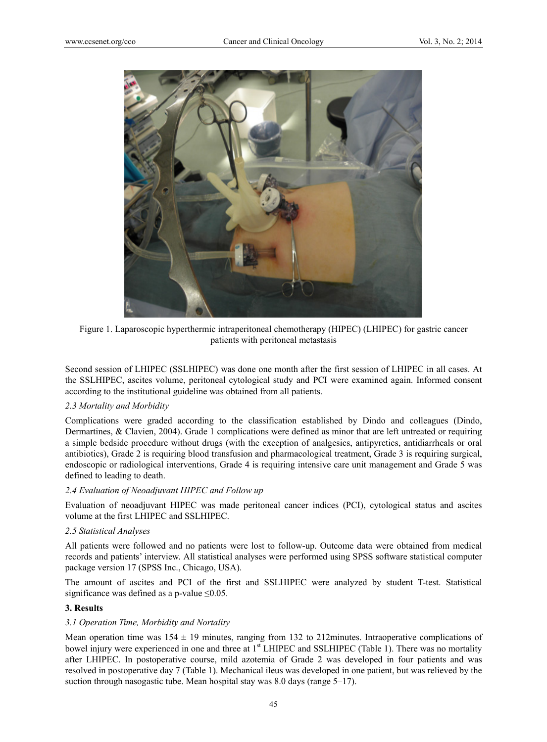

Figure 1. Laparoscopic hyperthermic intraperitoneal chemotherapy (HIPEC) (LHIPEC) for gastric cancer patients with peritoneal metastasis

Second session of LHIPEC (SSLHIPEC) was done one month after the first session of LHIPEC in all cases. At the SSLHIPEC, ascites volume, peritoneal cytological study and PCI were examined again. Informed consent according to the institutional guideline was obtained from all patients.

#### *2.3 Mortality and Morbidity*

Complications were graded according to the classification established by Dindo and colleagues (Dindo, Dermartines, & Clavien, 2004). Grade 1 complications were defined as minor that are left untreated or requiring a simple bedside procedure without drugs (with the exception of analgesics, antipyretics, antidiarrheals or oral antibiotics), Grade 2 is requiring blood transfusion and pharmacological treatment, Grade 3 is requiring surgical, endoscopic or radiological interventions, Grade 4 is requiring intensive care unit management and Grade 5 was defined to leading to death.

#### *2.4 Evaluation of Neoadjuvant HIPEC and Follow up*

Evaluation of neoadjuvant HIPEC was made peritoneal cancer indices (PCI), cytological status and ascites volume at the first LHIPEC and SSLHIPEC.

#### *2.5 Statistical Analyses*

All patients were followed and no patients were lost to follow-up. Outcome data were obtained from medical records and patients' interview. All statistical analyses were performed using SPSS software statistical computer package version 17 (SPSS Inc., Chicago, USA).

The amount of ascites and PCI of the first and SSLHIPEC were analyzed by student T-test. Statistical significance was defined as a p-value  $\leq 0.05$ .

#### **3. Results**

#### *3.1 Operation Time, Morbidity and Nortality*

Mean operation time was  $154 \pm 19$  minutes, ranging from 132 to 212minutes. Intraoperative complications of bowel injury were experienced in one and three at 1<sup>st</sup> LHIPEC and SSLHIPEC (Table 1). There was no mortality after LHIPEC. In postoperative course, mild azotemia of Grade 2 was developed in four patients and was resolved in postoperative day 7 (Table 1). Mechanical ileus was developed in one patient, but was relieved by the suction through nasogastic tube. Mean hospital stay was 8.0 days (range 5–17).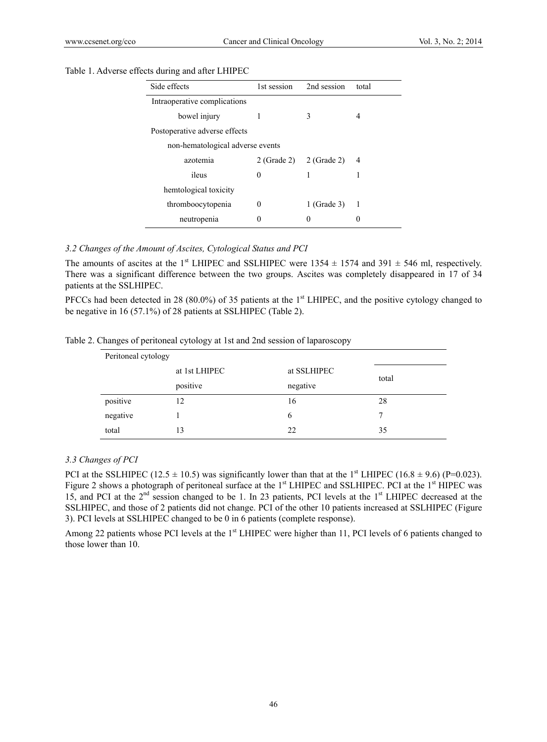#### Table 1. Adverse effects during and after LHIPEC

| Side effects                     | 1st session | 2nd session             | total          |  |  |
|----------------------------------|-------------|-------------------------|----------------|--|--|
| Intraoperative complications     |             |                         |                |  |  |
| bowel injury                     | L           | 3                       | 4              |  |  |
| Postoperative adverse effects    |             |                         |                |  |  |
| non-hematological adverse events |             |                         |                |  |  |
| azotemia                         |             | 2 (Grade 2) 2 (Grade 2) | 4              |  |  |
| ileus                            | 0           |                         |                |  |  |
| hemtological toxicity            |             |                         |                |  |  |
| thromboocytopenia                | 0           | $1$ (Grade 3)           | $\overline{1}$ |  |  |
| neutropenia                      | 0           | 0                       |                |  |  |
|                                  |             |                         |                |  |  |

# *3.2 Changes of the Amount of Ascites, Cytological Status and PCI*

The amounts of ascites at the 1<sup>st</sup> LHIPEC and SSLHIPEC were 1354  $\pm$  1574 and 391  $\pm$  546 ml, respectively. There was a significant difference between the two groups. Ascites was completely disappeared in 17 of 34 patients at the SSLHIPEC.

PFCCs had been detected in 28 (80.0%) of 35 patients at the 1<sup>st</sup> LHIPEC, and the positive cytology changed to be negative in 16 (57.1%) of 28 patients at SSLHIPEC (Table 2).

Table 2. Changes of peritoneal cytology at 1st and 2nd session of laparoscopy

| Peritoneal cytology |                      |             |       |  |  |
|---------------------|----------------------|-------------|-------|--|--|
|                     | at 1st LHIPEC        | at SSLHIPEC |       |  |  |
|                     | positive<br>negative |             | total |  |  |
| positive            | 12                   | 16          | 28    |  |  |
| negative            |                      | 6           | 7     |  |  |
| total               | 13                   | 22          | 35    |  |  |

#### *3.3 Changes of PCI*

PCI at the SSLHIPEC (12.5  $\pm$  10.5) was significantly lower than that at the 1<sup>st</sup> LHIPEC (16.8  $\pm$  9.6) (P=0.023). Figure 2 shows a photograph of peritoneal surface at the 1<sup>st</sup> LHIPEC and SSLHIPEC. PCI at the 1<sup>st</sup> HIPEC was 15, and PCI at the 2nd session changed to be 1. In 23 patients, PCI levels at the 1st LHIPEC decreased at the SSLHIPEC, and those of 2 patients did not change. PCI of the other 10 patients increased at SSLHIPEC (Figure 3). PCI levels at SSLHIPEC changed to be 0 in 6 patients (complete response).

Among 22 patients whose PCI levels at the 1<sup>st</sup> LHIPEC were higher than 11, PCI levels of 6 patients changed to those lower than 10.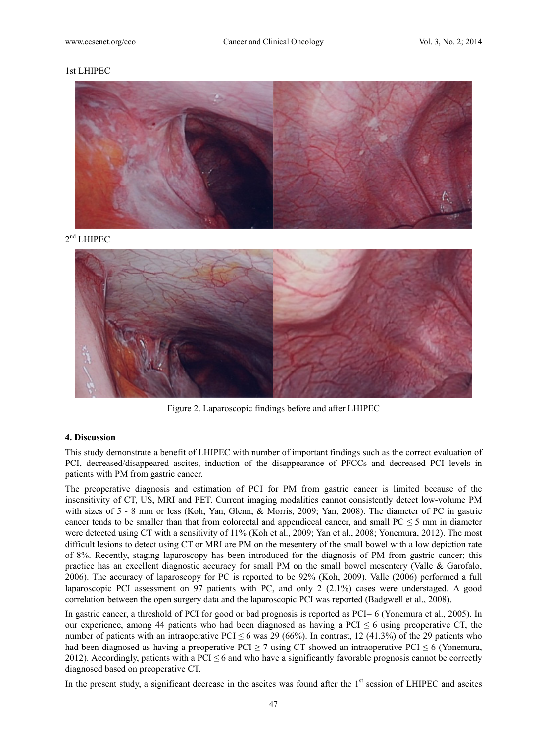#### 1st LHIPEC



2<sup>nd</sup> LHIPEC



Figure 2. Laparoscopic findings before and after LHIPEC

#### **4. Discussion**

This study demonstrate a benefit of LHIPEC with number of important findings such as the correct evaluation of PCI, decreased/disappeared ascites, induction of the disappearance of PFCCs and decreased PCI levels in patients with PM from gastric cancer.

The preoperative diagnosis and estimation of PCI for PM from gastric cancer is limited because of the insensitivity of CT, US, MRI and PET. Current imaging modalities cannot consistently detect low-volume PM with sizes of 5 - 8 mm or less (Koh, Yan, Glenn, & Morris, 2009; Yan, 2008). The diameter of PC in gastric cancer tends to be smaller than that from colorectal and appendiceal cancer, and small  $PC \le 5$  mm in diameter were detected using CT with a sensitivity of 11% (Koh et al., 2009; Yan et al., 2008; Yonemura, 2012). The most difficult lesions to detect using CT or MRI are PM on the mesentery of the small bowel with a low depiction rate of 8%. Recently, staging laparoscopy has been introduced for the diagnosis of PM from gastric cancer; this practice has an excellent diagnostic accuracy for small PM on the small bowel mesentery (Valle & Garofalo, 2006). The accuracy of laparoscopy for PC is reported to be 92% (Koh, 2009). Valle (2006) performed a full laparoscopic PCI assessment on 97 patients with PC, and only 2 (2.1%) cases were understaged. A good correlation between the open surgery data and the laparoscopic PCI was reported (Badgwell et al., 2008).

In gastric cancer, a threshold of PCI for good or bad prognosis is reported as PCI= 6 (Yonemura et al., 2005). In our experience, among 44 patients who had been diagnosed as having a PCI  $\leq$  6 using preoperative CT, the number of patients with an intraoperative PCI  $\leq 6$  was 29 (66%). In contrast, 12 (41.3%) of the 29 patients who had been diagnosed as having a preoperative PCI  $\geq$  7 using CT showed an intraoperative PCI  $\leq$  6 (Yonemura, 2012). Accordingly, patients with a PCI  $\leq 6$  and who have a significantly favorable prognosis cannot be correctly diagnosed based on preoperative CT.

In the present study, a significant decrease in the ascites was found after the  $1<sup>st</sup>$  session of LHIPEC and ascites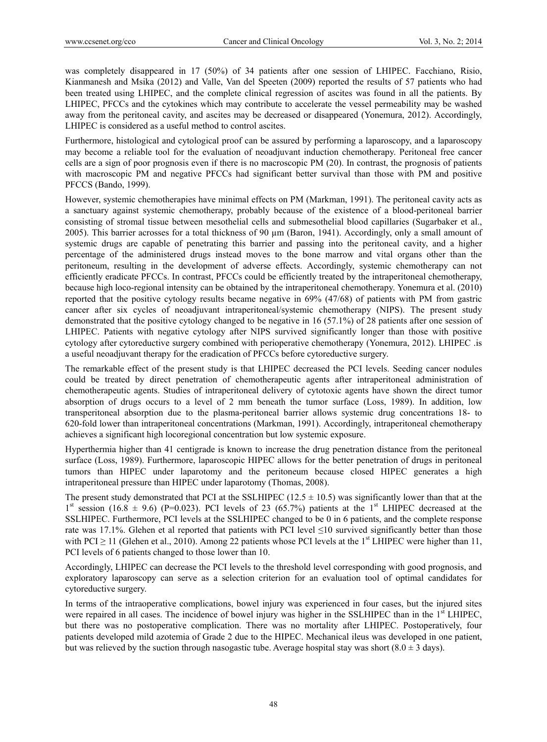was completely disappeared in 17 (50%) of 34 patients after one session of LHIPEC. Facchiano, Risio, Kianmanesh and Msika (2012) and Valle, Van del Speeten (2009) reported the results of 57 patients who had been treated using LHIPEC, and the complete clinical regression of ascites was found in all the patients. By LHIPEC, PFCCs and the cytokines which may contribute to accelerate the vessel permeability may be washed away from the peritoneal cavity, and ascites may be decreased or disappeared (Yonemura, 2012). Accordingly, LHIPEC is considered as a useful method to control ascites.

Furthermore, histological and cytological proof can be assured by performing a laparoscopy, and a laparoscopy may become a reliable tool for the evaluation of neoadjuvant induction chemotherapy. Peritoneal free cancer cells are a sign of poor prognosis even if there is no macroscopic PM (20). In contrast, the prognosis of patients with macroscopic PM and negative PFCCs had significant better survival than those with PM and positive PFCCS (Bando, 1999).

However, systemic chemotherapies have minimal effects on PM (Markman, 1991). The peritoneal cavity acts as a sanctuary against systemic chemotherapy, probably because of the existence of a blood-peritoneal barrier consisting of stromal tissue between mesothelial cells and submesothelial blood capillaries (Sugarbaker et al., 2005). This barrier acrosses for a total thickness of 90 µm (Baron, 1941). Accordingly, only a small amount of systemic drugs are capable of penetrating this barrier and passing into the peritoneal cavity, and a higher percentage of the administered drugs instead moves to the bone marrow and vital organs other than the peritoneum, resulting in the development of adverse effects. Accordingly, systemic chemotherapy can not efficiently eradicate PFCCs. In contrast, PFCCs could be efficiently treated by the intraperitoneal chemotherapy, because high loco-regional intensity can be obtained by the intraperitoneal chemotherapy. Yonemura et al. (2010) reported that the positive cytology results became negative in 69% (47/68) of patients with PM from gastric cancer after six cycles of neoadjuvant intraperitoneal/systemic chemotherapy (NIPS). The present study demonstrated that the positive cytology changed to be negative in 16 (57.1%) of 28 patients after one session of LHIPEC. Patients with negative cytology after NIPS survived significantly longer than those with positive cytology after cytoreductive surgery combined with perioperative chemotherapy (Yonemura, 2012). LHIPEC .is a useful neoadjuvant therapy for the eradication of PFCCs before cytoreductive surgery.

The remarkable effect of the present study is that LHIPEC decreased the PCI levels. Seeding cancer nodules could be treated by direct penetration of chemotherapeutic agents after intraperitoneal administration of chemotherapeutic agents. Studies of intraperitoneal delivery of cytotoxic agents have shown the direct tumor absorption of drugs occurs to a level of 2 mm beneath the tumor surface (Loss, 1989). In addition, low transperitoneal absorption due to the plasma-peritoneal barrier allows systemic drug concentrations 18- to 620-fold lower than intraperitoneal concentrations (Markman, 1991). Accordingly, intraperitoneal chemotherapy achieves a significant high locoregional concentration but low systemic exposure.

Hyperthermia higher than 41 centigrade is known to increase the drug penetration distance from the peritoneal surface (Loss, 1989). Furthermore, laparoscopic HIPEC allows for the better penetration of drugs in peritoneal tumors than HIPEC under laparotomy and the peritoneum because closed HIPEC generates a high intraperitoneal pressure than HIPEC under laparotomy (Thomas, 2008).

The present study demonstrated that PCI at the SSLHIPEC (12.5  $\pm$  10.5) was significantly lower than that at the  $1<sup>st</sup>$  session (16.8  $\pm$  9.6) (P=0.023). PCI levels of 23 (65.7%) patients at the  $1<sup>st</sup>$  LHIPEC decreased at the SSLHIPEC. Furthermore, PCI levels at the SSLHIPEC changed to be 0 in 6 patients, and the complete response rate was 17.1%. Glehen et al reported that patients with PCI level ≤10 survived significantly better than those with PCI  $\geq$  11 (Glehen et al., 2010). Among 22 patients whose PCI levels at the 1<sup>st</sup> LHIPEC were higher than 11, PCI levels of 6 patients changed to those lower than 10.

Accordingly, LHIPEC can decrease the PCI levels to the threshold level corresponding with good prognosis, and exploratory laparoscopy can serve as a selection criterion for an evaluation tool of optimal candidates for cytoreductive surgery.

In terms of the intraoperative complications, bowel injury was experienced in four cases, but the injured sites were repaired in all cases. The incidence of bowel injury was higher in the SSLHIPEC than in the 1<sup>st</sup> LHIPEC, but there was no postoperative complication. There was no mortality after LHIPEC. Postoperatively, four patients developed mild azotemia of Grade 2 due to the HIPEC. Mechanical ileus was developed in one patient, but was relieved by the suction through nasogastic tube. Average hospital stay was short  $(8.0 \pm 3 \text{ days})$ .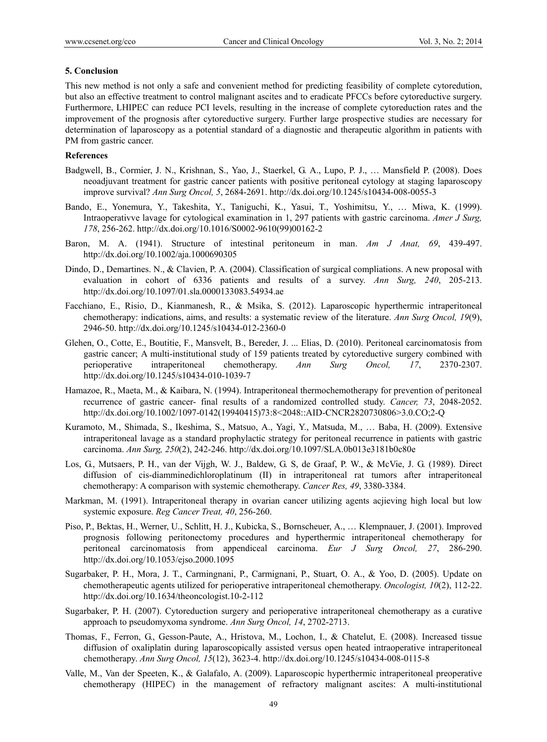## **5. Conclusion**

This new method is not only a safe and convenient method for predicting feasibility of complete cytoredution, but also an effective treatment to control malignant ascites and to eradicate PFCCs before cytoreductive surgery. Furthermore, LHIPEC can reduce PCI levels, resulting in the increase of complete cytoreduction rates and the improvement of the prognosis after cytoreductive surgery. Further large prospective studies are necessary for determination of laparoscopy as a potential standard of a diagnostic and therapeutic algorithm in patients with PM from gastric cancer.

## **References**

- Badgwell, B., Cormier, J. N., Krishnan, S., Yao, J., Staerkel, G. A., Lupo, P. J., … Mansfield P. (2008). Does neoadjuvant treatment for gastric cancer patients with positive peritoneal cytology at staging laparoscopy improve survival? *Ann Surg Oncol, 5*, 2684-2691. http://dx.doi.org/10.1245/s10434-008-0055-3
- Bando, E., Yonemura, Y., Takeshita, Y., Taniguchi, K., Yasui, T., Yoshimitsu, Y., … Miwa, K. (1999). Intraoperativve lavage for cytological examination in 1, 297 patients with gastric carcinoma. *Amer J Surg, 178*, 256-262. http://dx.doi.org/10.1016/S0002-9610(99)00162-2
- Baron, M. A. (1941). Structure of intestinal peritoneum in man. *Am J Anat, 69*, 439-497. http://dx.doi.org/10.1002/aja.1000690305
- Dindo, D., Demartines. N., & Clavien, P. A. (2004). Classification of surgical compliations. A new proposal with evaluation in cohort of 6336 patients and results of a survey. *Ann Surg, 240*, 205-213. http://dx.doi.org/10.1097/01.sla.0000133083.54934.ae
- Facchiano, E., Risio, D., Kianmanesh, R., & Msika, S. (2012). Laparoscopic hyperthermic intraperitoneal chemotherapy: indications, aims, and results: a systematic review of the literature. *Ann Surg Oncol, 19*(9), 2946-50. http://dx.doi.org/10.1245/s10434-012-2360-0
- Glehen, O., Cotte, E., Boutitie, F., Mansvelt, B., Bereder, J. ... Elias, D. (2010). Peritoneal carcinomatosis from gastric cancer; A multi-institutional study of 159 patients treated by cytoreductive surgery combined with perioperative intraperitoneal chemotherapy. *Ann Surg Oncol, 17*, 2370-2307. http://dx.doi.org/10.1245/s10434-010-1039-7
- Hamazoe, R., Maeta, M., & Kaibara, N. (1994). Intraperitoneal thermochemotherapy for prevention of peritoneal recurrence of gastric cancer- final results of a randomized controlled study. *Cancer, 73*, 2048-2052. http://dx.doi.org/10.1002/1097-0142(19940415)73:8<2048::AID-CNCR2820730806>3.0.CO;2-Q
- Kuramoto, M., Shimada, S., Ikeshima, S., Matsuo, A., Yagi, Y., Matsuda, M., … Baba, H. (2009). Extensive intraperitoneal lavage as a standard prophylactic strategy for peritoneal recurrence in patients with gastric carcinoma. *Ann Surg, 250*(2), 242-246. http://dx.doi.org/10.1097/SLA.0b013e3181b0c80e
- Los, G., Mutsaers, P. H., van der Vijgh, W. J., Baldew, G. S, de Graaf, P. W., & McVie, J. G. (1989). Direct diffusion of cis-diamminedichloroplatinum (II) in intraperitoneal rat tumors after intraperitoneal chemotherapy: A comparison with systemic chemotherapy. *Cancer Res, 49*, 3380-3384.
- Markman, M. (1991). Intraperitoneal therapy in ovarian cancer utilizing agents acjieving high local but low systemic exposure. *Reg Cancer Treat, 40*, 256-260.
- Piso, P., Bektas, H., Werner, U., Schlitt, H. J., Kubicka, S., Bornscheuer, A., … Klempnauer, J. (2001). Improved prognosis following peritonectomy procedures and hyperthermic intraperitoneal chemotherapy for peritoneal carcinomatosis from appendiceal carcinoma. *Eur J Surg Oncol, 27*, 286-290. http://dx.doi.org/10.1053/ejso.2000.1095
- Sugarbaker, P. H., Mora, J. T., Carmingnani, P., Carmignani, P., Stuart, O. A., & Yoo, D. (2005). Update on chemotherapeutic agents utilized for perioperative intraperitoneal chemotherapy. *Oncologist, 10*(2), 112-22. http://dx.doi.org/10.1634/theoncologist.10-2-112
- Sugarbaker, P. H. (2007). Cytoreduction surgery and perioperative intraperitoneal chemotherapy as a curative approach to pseudomyxoma syndrome. *Ann Surg Oncol, 14*, 2702-2713.
- Thomas, F., Ferron, G., Gesson-Paute, A., Hristova, M., Lochon, I., & Chatelut, E. (2008). Increased tissue diffusion of oxaliplatin during laparoscopically assisted versus open heated intraoperative intraperitoneal chemotherapy. *Ann Surg Oncol, 15*(12), 3623-4. http://dx.doi.org/10.1245/s10434-008-0115-8
- Valle, M., Van der Speeten, K., & Galafalo, A. (2009). Laparoscopic hyperthermic intraperitoneal preoperative chemotherapy (HIPEC) in the management of refractory malignant ascites: A multi-institutional